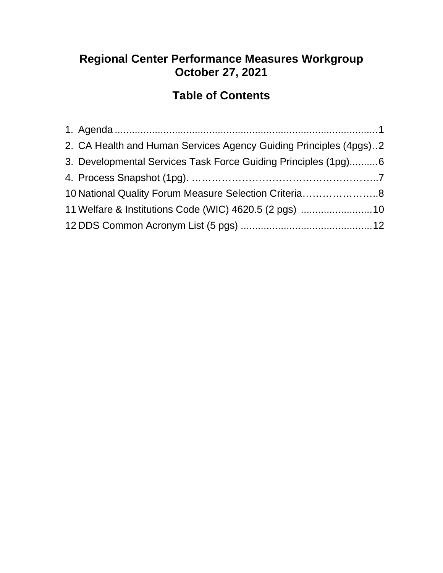### **Regional Center Performance Measures Workgroup October 27, 2021**

### **Table of Contents**

| 2. CA Health and Human Services Agency Guiding Principles (4pgs)2 |  |
|-------------------------------------------------------------------|--|
| 3. Developmental Services Task Force Guiding Principles (1pg)6    |  |
|                                                                   |  |
| 10 National Quality Forum Measure Selection Criteria8             |  |
| 11 Welfare & Institutions Code (WIC) 4620.5 (2 pgs) 10            |  |
|                                                                   |  |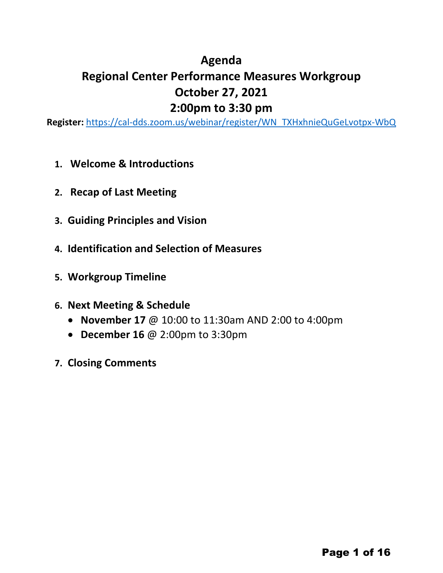#### **Agenda**

# **Regional Center Performance Measures Workgroup October 27, 2021 2:00pm to 3:30 pm**

**Register:** [https://cal-dds.zoom.us/webinar/register/WN\\_TXHxhnieQuGeLvotpx-WbQ](https://cal-dds.zoom.us/webinar/register/WN_TXHxhnieQuGeLvotpx-WbQ)

- **1. Welcome & Introductions**
- **2. Recap of Last Meeting**
- **3. Guiding Principles and Vision**
- **4. Identification and Selection of Measures**
- **5. Workgroup Timeline**
- **6. Next Meeting & Schedule**
	- **November 17** @ 10:00 to 11:30am AND 2:00 to 4:00pm
	- **December 16** @ 2:00pm to 3:30pm
- **7. Closing Comments**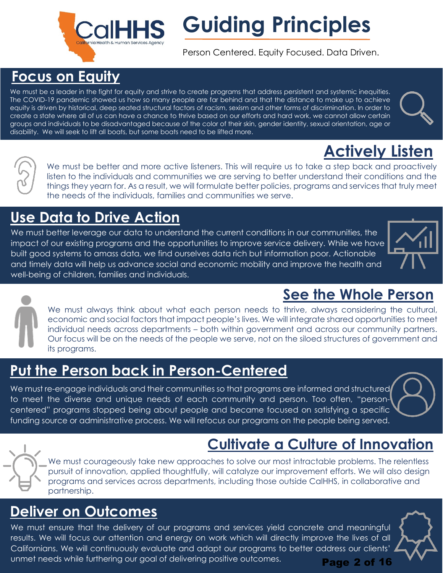# **Focus on Equity**

We must be a leader in the fight for equity and strive to create programs that address persistent and systemic inequities. The COVID-19 pandemic showed us how so many people are far behind and that the distance to make up to achieve equity is driven by historical, deep seated structural factors of racism, sexism and other forms of discrimination. In order to create a state where all of us can have a chance to thrive based on our efforts and hard work, we cannot allow certain groups and individuals to be disadvantaged because of the color of their skin, gender identity, sexual orientation, age or disability. We will seek to lift all boats, but some boats need to be lifted more.

# **Use Data to Drive Action**

We must better leverage our data to understand the current conditions in our communities, the impact of our existing programs and the opportunities to improve service delivery. While we have built good systems to amass data, we find ourselves data rich but information poor. Actionable and timely data will help us advance social and economic mobility and improve the health and well-being of children, families and individuals.

the needs of the individuals, families and communities we serve.

We must always think about what each person needs to thrive, always considering the cultural, economic and social factors that impact people's lives. We will integrate shared opportunities to meet individual needs across departments – both within government and across our community partners. Our focus will be on the needs of the people we serve, not on the siloed structures of government and its programs.

# **Put the Person back in Person-Centered**

We must re-engage individuals and their communities so that programs are informed and structured to meet the diverse and unique needs of each community and person. Too often, "personcentered" programs stopped being about people and became focused on satisfying a specific funding source or administrative process. We will refocus our programs on the people being served.

# **Cultivate a Culture of Innovation**

We must courageously take new approaches to solve our most intractable problems. The relentless pursuit of innovation, applied thoughtfully, will catalyze our improvement efforts. We will also design programs and services across departments, including those outside CalHHS, in collaborative and partnership.

# **Deliver on Outcomes**

We must ensure that the delivery of our programs and services yield concrete and meaningful results. We will focus our attention and energy on work which will directly improve the lives of all Californians. We will continuously evaluate and adapt our programs to better address our clients' unmet needs while furthering our goal of delivering positive outcomes. Page 2 of 16

# **See the Whole Person**



| We must be better and more active listeners. This will require us to take a step back and proactively        |
|--------------------------------------------------------------------------------------------------------------|
| listen to the individuals and communities we are serving to better understand their conditions and the       |
| things they yearn for. As a result, we will formulate better policies, programs and services that truly meet |

**Actively Listen**

# **Guiding Principles**

Person Centered. Equity Focused. Data Driven.





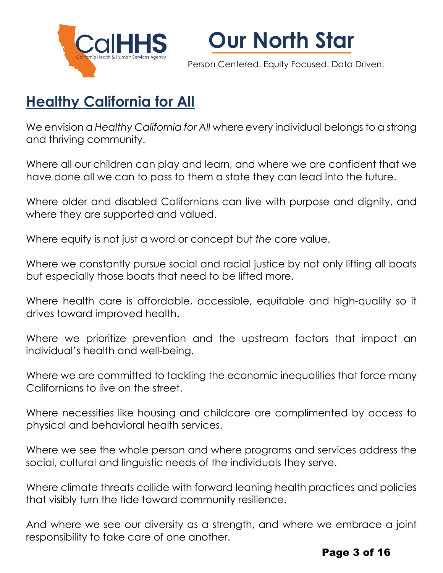



Person Centered. Equity Focused. Data Driven.

# **Healthy California for All**

We envision a *Healthy California for All* where every individual belongs to a strong and thriving community.

Where all our children can play and learn, and where we are confident that we have done all we can to pass to them a state they can lead into the future.

Where older and disabled Californians can live with purpose and dignity, and where they are supported and valued.

Where equity is not just a word or concept but *the* core value.

Where we constantly pursue social and racial justice by not only lifting all boats but especially those boats that need to be lifted more.

Where health care is affordable, accessible, equitable and high-quality so it drives toward improved health.

Where we prioritize prevention and the upstream factors that impact an individual's health and well-being.

Where we are committed to tackling the economic inequalities that force many Californians to live on the street.

Where necessities like housing and childcare are complimented by access to physical and behavioral health services.

Where we see the whole person and where programs and services address the social, cultural and linguistic needs of the individuals they serve.

Where climate threats collide with forward leaning health practices and policies that visibly turn the tide toward community resilience.

And where we see our diversity as a strength, and where we embrace a joint responsibility to take care of one another.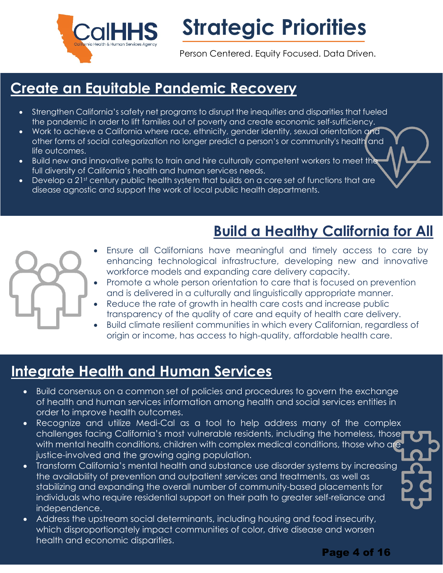

**Strategic Priorities** 

Person Centered. Equity Focused. Data Driven.

# **Create an Equitable Pandemic Recovery**

- Strengthen California's safety net programs to disrupt the inequities and disparities that fueled the pandemic in order to lift families out of poverty and create economic self-sufficiency.
- Work to achieve a California where race, ethnicity, gender identity, sexual orientation and other forms of social categorization no longer predict a person's or community's health and life outcomes.
- Build new and innovative paths to train and hire culturally competent workers to meet the full diversity of California's health and human services needs.
- Develop a 21st century public health system that builds on a core set of functions that are disease agnostic and support the work of local public health departments.

# **Build a Healthy California for All**

- - Ensure all Californians have meaningful and timely access to care by enhancing technological infrastructure, developing new and innovative workforce models and expanding care delivery capacity.
	- Promote a whole person orientation to care that is focused on prevention and is delivered in a culturally and linguistically appropriate manner.
	- Reduce the rate of growth in health care costs and increase public transparency of the quality of care and equity of health care delivery.
	- Build climate resilient communities in which every Californian, regardless of origin or income, has access to high-quality, affordable health care.

# **Integrate Health and Human Services**

- Build consensus on a common set of policies and procedures to govern the exchange of health and human services information among health and social services entities in order to improve health outcomes.
- Recognize and utilize Medi-Cal as a tool to help address many of the complex challenges facing California's most vulnerable residents, including the homeless, those with mental health conditions, children with complex medical conditions, those who are justice-involved and the growing aging population.
- Transform California's mental health and substance use disorder systems by increasing the availability of prevention and outpatient services and treatments, as well as stabilizing and expanding the overall number of community-based placements for individuals who require residential support on their path to greater self-reliance and independence.
- Address the upstream social determinants, including housing and food insecurity, which disproportionately impact communities of color, drive disease and worsen health and economic disparities.

Page 4 of 16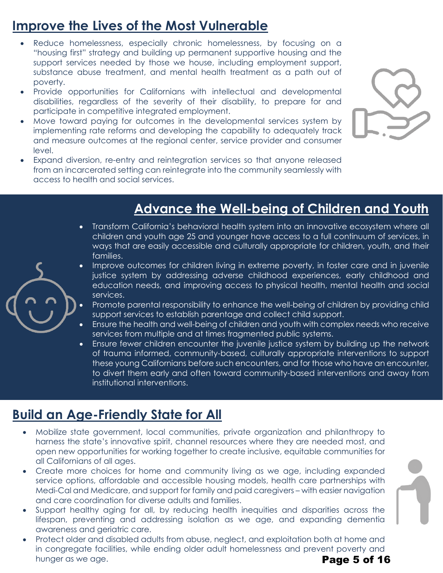# **Improve the Lives of the Most Vulnerable**

- Reduce homelessness, especially chronic homelessness, by focusing on a "housing first" strategy and building up permanent supportive housing and the support services needed by those we house, including employment support, substance abuse treatment, and mental health treatment as a path out of poverty.
- Provide opportunities for Californians with intellectual and developmental disabilities, regardless of the severity of their disability, to prepare for and participate in competitive integrated employment.
- Move toward paying for outcomes in the developmental services system by implementing rate reforms and developing the capability to adequately track and measure outcomes at the regional center, service provider and consumer level.
- Expand diversion, re-entry and reintegration services so that anyone released from an incarcerated setting can reintegrate into the community seamlessly with access to health and social services.



# **Advance the Well-being of Children and Youth**

- Transform California's behavioral health system into an innovative ecosystem where all children and youth age 25 and younger have access to a full continuum of services, in ways that are easily accessible and culturally appropriate for children, youth, and their families.
- Improve outcomes for children living in extreme poverty, in foster care and in juvenile justice system by addressing adverse childhood experiences, early childhood and education needs, and improving access to physical health, mental health and social services.
- Promote parental responsibility to enhance the well-being of children by providing child support services to establish parentage and collect child support.
- Ensure the health and well-being of children and youth with complex needs who receive services from multiple and at times fragmented public systems.
- Ensure fewer children encounter the juvenile justice system by building up the network of trauma informed, community-based, culturally appropriate interventions to support these young Californians before such encounters, and for those who have an encounter, to divert them early and often toward community-based interventions and away from institutional interventions.

# **Build an Age-Friendly State for All**

- Mobilize state government, local communities, private organization and philanthropy to harness the state's innovative spirit, channel resources where they are needed most, and open new opportunities for working together to create inclusive, equitable communities for all Californians of all ages.
- Create more choices for home and community living as we age, including expanded service options, affordable and accessible housing models, health care partnerships with Medi-Cal and Medicare, and support for family and paid caregivers – with easier navigation and care coordination for diverse adults and families.
- Support healthy aging for all, by reducing health inequities and disparities across the lifespan, preventing and addressing isolation as we age, and expanding dementia awareness and geriatric care.
- Protect older and disabled adults from abuse, neglect, and exploitation both at home and in congregate facilities, while ending older adult homelessness and prevent poverty and hunger as we age. Page 5 of 16

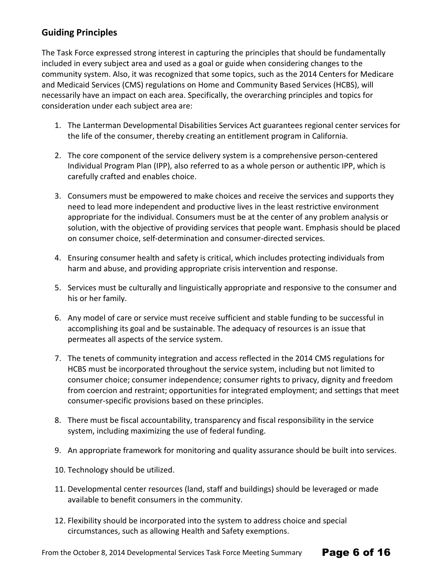#### **Guiding Principles**

The Task Force expressed strong interest in capturing the principles that should be fundamentally included in every subject area and used as a goal or guide when considering changes to the community system. Also, it was recognized that some topics, such as the 2014 Centers for Medicare and Medicaid Services (CMS) regulations on Home and Community Based Services (HCBS), will necessarily have an impact on each area. Specifically, the overarching principles and topics for consideration under each subject area are:

- 1. The Lanterman Developmental Disabilities Services Act guarantees regional center services for the life of the consumer, thereby creating an entitlement program in California.
- 2. The core component of the service delivery system is a comprehensive person-centered Individual Program Plan (IPP), also referred to as a whole person or authentic IPP, which is carefully crafted and enables choice.
- 3. Consumers must be empowered to make choices and receive the services and supports they need to lead more independent and productive lives in the least restrictive environment appropriate for the individual. Consumers must be at the center of any problem analysis or solution, with the objective of providing services that people want. Emphasis should be placed on consumer choice, self-determination and consumer-directed services.
- 4. Ensuring consumer health and safety is critical, which includes protecting individuals from harm and abuse, and providing appropriate crisis intervention and response.
- 5. Services must be culturally and linguistically appropriate and responsive to the consumer and his or her family.
- 6. Any model of care or service must receive sufficient and stable funding to be successful in accomplishing its goal and be sustainable. The adequacy of resources is an issue that permeates all aspects of the service system.
- 7. The tenets of community integration and access reflected in the 2014 CMS regulations for HCBS must be incorporated throughout the service system, including but not limited to consumer choice; consumer independence; consumer rights to privacy, dignity and freedom from coercion and restraint; opportunities for integrated employment; and settings that meet consumer-specific provisions based on these principles.
- 8. There must be fiscal accountability, transparency and fiscal responsibility in the service system, including maximizing the use of federal funding.
- 9. An appropriate framework for monitoring and quality assurance should be built into services.
- 10. Technology should be utilized.
- 11. Developmental center resources (land, staff and buildings) should be leveraged or made available to benefit consumers in the community.

Page 6 of 16

12. Flexibility should be incorporated into the system to address choice and special circumstances, such as allowing Health and Safety exemptions.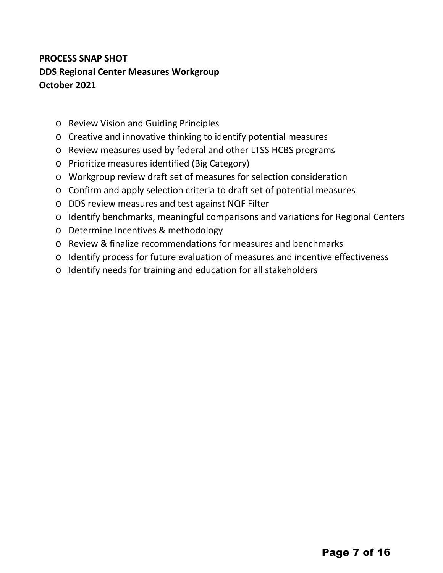#### **PROCESS SNAP SHOT DDS Regional Center Measures Workgroup October 2021**

- o Review Vision and Guiding Principles
- o Creative and innovative thinking to identify potential measures
- o Review measures used by federal and other LTSS HCBS programs
- o Prioritize measures identified (Big Category)
- o Workgroup review draft set of measures for selection consideration
- o Confirm and apply selection criteria to draft set of potential measures
- o DDS review measures and test against NQF Filter
- o Identify benchmarks, meaningful comparisons and variations for Regional Centers
- o Determine Incentives & methodology
- o Review & finalize recommendations for measures and benchmarks
- o Identify process for future evaluation of measures and incentive effectiveness
- o Identify needs for training and education for all stakeholders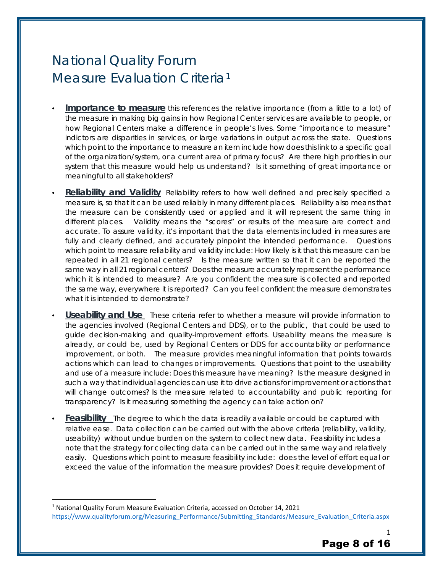# National Quality Forum Measure Evaluation Criteria[1](#page-8-0)

- **Importance to measure** this references the relative importance (from a little to a lot) of the measure in making big gains in how Regional Center services are available to people, or how Regional Centers make a difference in people's lives. Some "importance to measure" indictors are disparities in services, or large variations in output across the state. Questions which point to the importance to measure an item include how does this link to a specific goal of the organization/system, or a current area of primary focus? Are there high priorities in our system that this measure would help us understand? Is it something of great importance or meaningful to all stakeholders?
- **Reliability and Validity** Reliability refers to how well defined and precisely specified a measure is, so that it can be used *reliably* in many different places. Reliability also means that the measure can be consistently used or applied and it will represent the same thing in different places. Validity means the "scores" or results of the measure are correct and accurate. To assure validity, it's important that the data elements included in measures are fully and clearly defined, and accurately pinpoint the intended performance. Questions which point to measure reliability and validity include: How likely is it that this measure can be repeated in all 21 regional centers? Is the measure written so that it can be reported the same way in all 21 regional centers? Does the measure accurately represent the performance which it is intended to measure? Are you confident the measure is collected and reported the same way, everywhere it is reported? Can you feel confident the measure demonstrates what it is intended to demonstrate?
- **Useability and Use** These criteria refer to whether a measure will provide information to the agencies involved (Regional Centers and DDS), or to the public, that could be used to guide decision-making and quality-improvement efforts. Useability means the measure is already, or could be, used by Regional Centers or DDS for accountability or performance improvement, or both. The measure provides meaningful information that points towards actions which can lead to changes or improvements. Questions that point to the useability and use of a measure include: Does this measure have meaning? Is the measure designed in such a way that individual agencies can use it to drive actions for improvement or actions that will change outcomes? Is the measure related to accountability and public reporting for transparency? Is it measuring something the agency can take action on?
- **Feasibility** The degree to which the data is readily available or could be captured with relative ease. Data collection can be carried out with the above criteria (reliability, validity, useability) without undue burden on the system to collect new data. Feasibility includes a note that the strategy for collecting data can be carried out in the same way and relatively easily. Questions which point to measure feasibility include: does the level of effort equal or exceed the value of the information the measure provides? Does it require development of

<span id="page-8-0"></span><sup>1</sup> National Quality Forum Measure Evaluation Criteria, accessed on October 14, 2021 [https://www.qualityforum.org/Measuring\\_Performance/Submitting\\_Standards/Measure\\_Evaluation\\_Criteria.aspx](https://www.qualityforum.org/Measuring_Performance/Submitting_Standards/Measure_Evaluation_Criteria.aspx)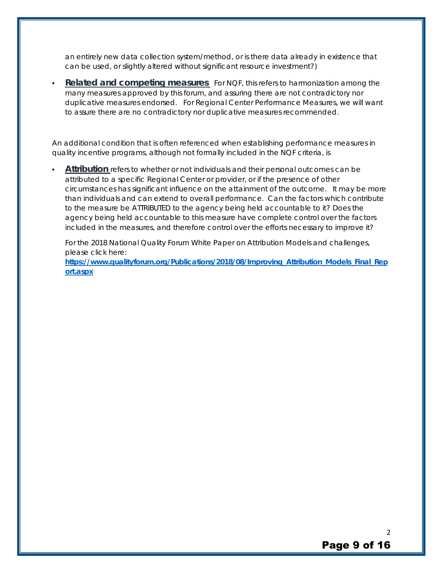an entirely new data collection system/method, or is there data already in existence that can be used, or slightly altered without significant resource investment?)

**Related and competing measures** For NQF, this refers to harmonization among the many measures approved by this forum, and assuring there are not contradictory nor duplicative measures endorsed. For Regional Center Performance Measures, we will want to assure there are no contradictory nor duplicative measures recommended.

An additional condition that is often referenced when establishing performance measures in quality incentive programs, although not formally included in the NQF criteria, is

• **Attribution** refers to whether or not individuals and their personal outcomes can be attributed to a specific Regional Center or provider, or if the presence of other circumstances has significant influence on the attainment of the outcome. It may be more than individuals and can extend to overall performance. Can the factors which contribute to the measure be ATTRIBUTED to the agency being held accountable to it? Does the agency being held accountable to this measure have complete control over the factors included in the measures, and therefore control over the efforts necessary to improve it?

For the 2018 National Quality Forum White Paper on Attribution Models and challenges, please click here:

**[https://www.qualityforum.org/Publications/2018/08/Improving\\_Attribution\\_Models\\_Final\\_Rep](https://www.qualityforum.org/Publications/2018/08/Improving_Attribution_Models_Final_Report.aspx) [ort.aspx](https://www.qualityforum.org/Publications/2018/08/Improving_Attribution_Models_Final_Report.aspx)**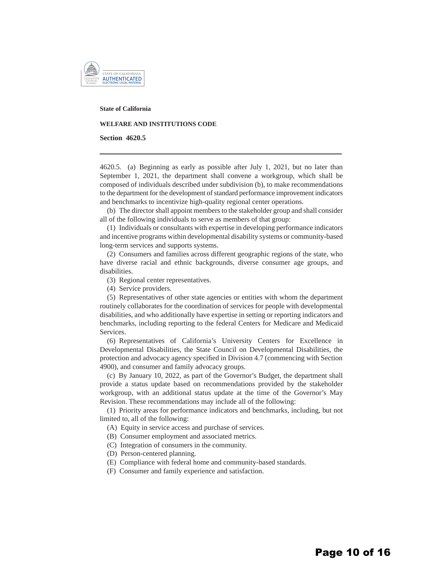

**State of California**

#### **WELFARE AND INSTITUTIONS CODE**

**Section 4620.5** 

4620.5. (a) Beginning as early as possible after July 1, 2021, but no later than September 1, 2021, the department shall convene a workgroup, which shall be composed of individuals described under subdivision (b), to make recommendations to the department for the development of standard performance improvement indicators and benchmarks to incentivize high-quality regional center operations.

(b) The director shall appoint members to the stakeholder group and shall consider all of the following individuals to serve as members of that group:

(1) Individuals or consultants with expertise in developing performance indicators and incentive programs within developmental disability systems or community-based long-term services and supports systems.

(2) Consumers and families across different geographic regions of the state, who have diverse racial and ethnic backgrounds, diverse consumer age groups, and disabilities.

(3) Regional center representatives.

(4) Service providers.

(5) Representatives of other state agencies or entities with whom the department routinely collaborates for the coordination of services for people with developmental disabilities, and who additionally have expertise in setting or reporting indicators and benchmarks, including reporting to the federal Centers for Medicare and Medicaid Services.

(6) Representatives of California's University Centers for Excellence in Developmental Disabilities, the State Council on Developmental Disabilities, the protection and advocacy agency specified in Division 4.7 (commencing with Section 4900), and consumer and family advocacy groups.

(c) By January 10, 2022, as part of the Governor's Budget, the department shall provide a status update based on recommendations provided by the stakeholder workgroup, with an additional status update at the time of the Governor's May Revision. These recommendations may include all of the following:

(1) Priority areas for performance indicators and benchmarks, including, but not limited to, all of the following:

(A) Equity in service access and purchase of services.

(B) Consumer employment and associated metrics.

- (C) Integration of consumers in the community.
- (D) Person-centered planning.
- (E) Compliance with federal home and community-based standards.
- (F) Consumer and family experience and satisfaction.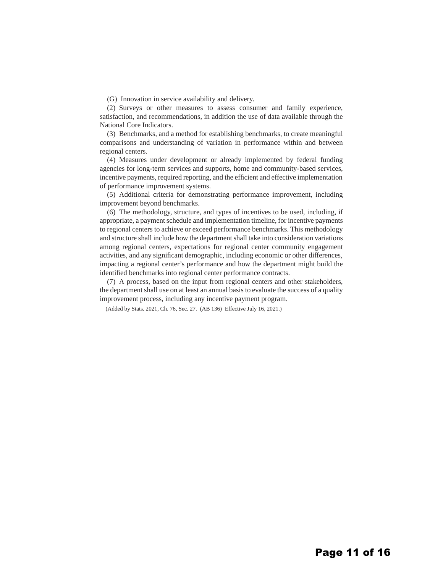(G) Innovation in service availability and delivery.

(2) Surveys or other measures to assess consumer and family experience, satisfaction, and recommendations, in addition the use of data available through the National Core Indicators.

(3) Benchmarks, and a method for establishing benchmarks, to create meaningful comparisons and understanding of variation in performance within and between regional centers.

(4) Measures under development or already implemented by federal funding agencies for long-term services and supports, home and community-based services, incentive payments, required reporting, and the efficient and effective implementation of performance improvement systems.

(5) Additional criteria for demonstrating performance improvement, including improvement beyond benchmarks.

(6) The methodology, structure, and types of incentives to be used, including, if appropriate, a payment schedule and implementation timeline, for incentive payments to regional centers to achieve or exceed performance benchmarks. This methodology and structure shall include how the department shall take into consideration variations among regional centers, expectations for regional center community engagement activities, and any significant demographic, including economic or other differences, impacting a regional center's performance and how the department might build the identified benchmarks into regional center performance contracts.

(7) A process, based on the input from regional centers and other stakeholders, the department shall use on at least an annual basis to evaluate the success of a quality improvement process, including any incentive payment program.

(Added by Stats. 2021, Ch. 76, Sec. 27. (AB 136) Effective July 16, 2021.)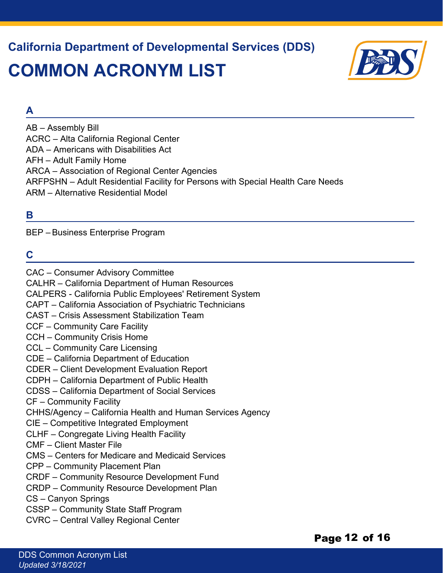**California Department of Developmental Services (DDS) COMMON ACRONYM LIST**



#### **A**

AB – Assembly Bill ACRC – Alta California Regional Center ADA – Americans with Disabilities Act AFH – Adult Family Home ARCA – Association of Regional Center Agencies ARFPSHN – Adult Residential Facility for Persons with Special Health Care Needs ARM – Alternative Residential Model

#### **B**

BEP – Business Enterprise Program

#### **C**

CAC – Consumer Advisory Committee

CALHR – California Department of Human Resources

CALPERS - California Public Employees' Retirement System

CAPT – California Association of Psychiatric Technicians

CAST – Crisis Assessment Stabilization Team

CCF – Community Care Facility

CCH – Community Crisis Home

CCL – Community Care Licensing

CDE – California Department of Education

CDER – Client Development Evaluation Report

CDPH – California Department of Public Health

CDSS – California Department of Social Services

CF – Community Facility

CHHS/Agency – California Health and Human Services Agency

CIE – Competitive Integrated Employment

CLHF – Congregate Living Health Facility

CMF – Client Master File

CMS – Centers for Medicare and Medicaid Services

CPP – Community Placement Plan

CRDF – Community Resource Development Fund

CRDP – Community Resource Development Plan

CS – Canyon Springs

CSSP – Community State Staff Program

CVRC – Central Valley Regional Center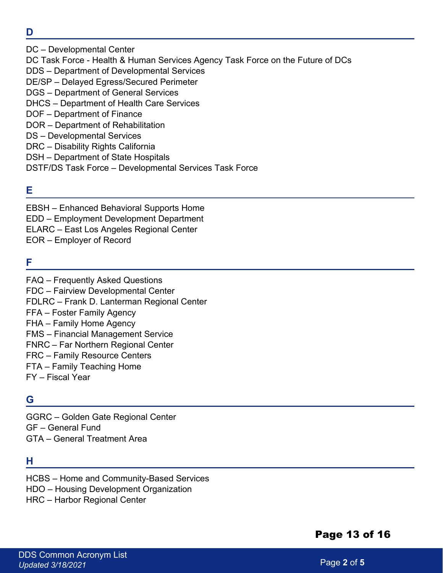- **D**
- DC Developmental Center DC Task Force - Health & Human Services Agency Task Force on the Future of DCs DDS – Department of Developmental Services DE/SP – Delayed Egress/Secured Perimeter DGS – Department of General Services DHCS – Department of Health Care Services DOF – Department of Finance DOR – Department of Rehabilitation DS – Developmental Services DRC – Disability Rights California DSH – Department of State Hospitals DSTF/DS Task Force – Developmental Services Task Force

#### **E**

EBSH – Enhanced Behavioral Supports Home EDD – Employment Development Department ELARC – East Los Angeles Regional Center EOR – Employer of Record

#### **F**

FAQ – Frequently Asked Questions FDC – Fairview Developmental Center FDLRC – Frank D. Lanterman Regional Center FFA – Foster Family Agency FHA – Family Home Agency FMS – Financial Management Service FNRC – Far Northern Regional Center FRC – Family Resource Centers FTA – Family Teaching Home FY – Fiscal Year

#### **G**

GGRC – Golden Gate Regional Center GF – General Fund GTA – General Treatment Area

#### **H**

HCBS – Home and Community-Based Services HDO – Housing Development Organization HRC – Harbor Regional Center

#### Page 13 of 16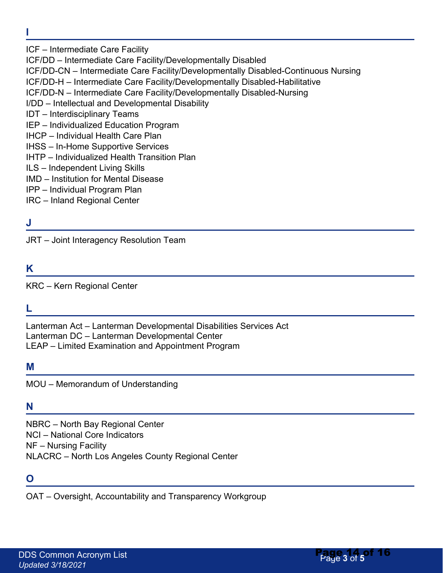- **I**
- ICF Intermediate Care Facility

ICF/DD – Intermediate Care Facility/Developmentally Disabled

ICF/DD-CN – Intermediate Care Facility/Developmentally Disabled-Continuous Nursing

ICF/DD-H – Intermediate Care Facility/Developmentally Disabled-Habilitative

ICF/DD-N – Intermediate Care Facility/Developmentally Disabled-Nursing

- I/DD Intellectual and Developmental Disability
- IDT Interdisciplinary Teams
- IEP Individualized Education Program
- IHCP Individual Health Care Plan
- IHSS In-Home Supportive Services
- IHTP Individualized Health Transition Plan
- ILS Independent Living Skills
- IMD Institution for Mental Disease
- IPP Individual Program Plan
- IRC Inland Regional Center

#### **J**

JRT – Joint Interagency Resolution Team

#### **K**

KRC – Kern Regional Center

#### **L**

Lanterman Act – Lanterman Developmental Disabilities Services Act Lanterman DC – Lanterman Developmental Center LEAP – Limited Examination and Appointment Program

#### **M**

MOU – Memorandum of Understanding

#### **N**

NBRC – North Bay Regional Center NCI – National Core Indicators NF – Nursing Facility NLACRC – North Los Angeles County Regional Center

#### **O**

OAT – Oversight, Accountability and Transparency Workgroup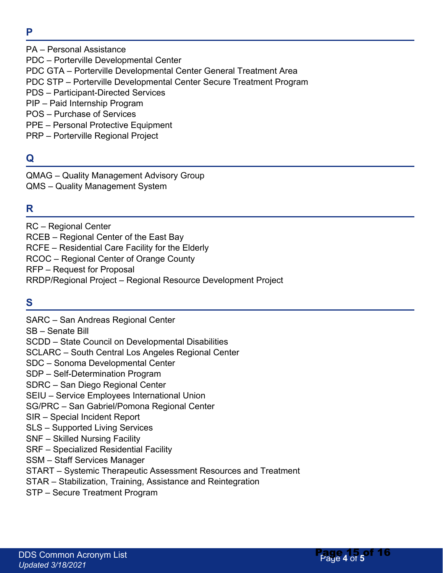**P** 

PDC – Porterville Developmental Center PDC GTA – Porterville Developmental Center General Treatment Area PDC STP – Porterville Developmental Center Secure Treatment Program PDS – Participant-Directed Services

PIP – Paid Internship Program POS – Purchase of Services

PA – Personal Assistance

- PPE Personal Protective Equipment
- PRP Porterville Regional Project

#### **Q**

QMAG – Quality Management Advisory Group QMS – Quality Management System

#### **R**

RC – Regional Center RCEB – Regional Center of the East Bay RCFE – Residential Care Facility for the Elderly RCOC – Regional Center of Orange County RFP – Request for Proposal RRDP/Regional Project – Regional Resource Development Project

#### **S**

SARC – San Andreas Regional Center SB – Senate Bill SCDD – State Council on Developmental Disabilities SCLARC – South Central Los Angeles Regional Center SDC – Sonoma Developmental Center SDP – Self-Determination Program SDRC – San Diego Regional Center SEIU – Service Employees International Union SG/PRC – San Gabriel/Pomona Regional Center SIR – Special Incident Report SLS – Supported Living Services SNF – Skilled Nursing Facility SRF – Specialized Residential Facility SSM – Staff Services Manager START – Systemic Therapeutic Assessment Resources and Treatment STAR – Stabilization, Training, Assistance and Reintegration STP – Secure Treatment Program